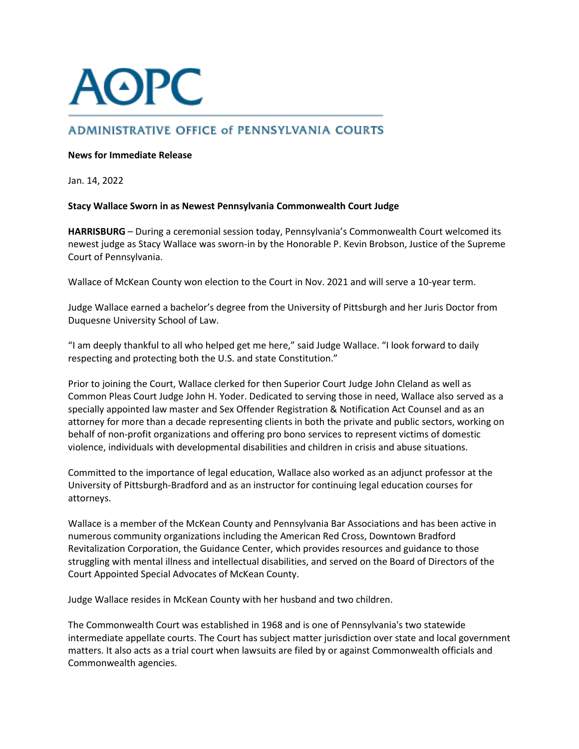## **AOPC**

## **ADMINISTRATIVE OFFICE of PENNSYLVANIA COURTS**

## **News for Immediate Release**

Jan. 14, 2022

## **Stacy Wallace Sworn in as Newest Pennsylvania Commonwealth Court Judge**

**HARRISBURG** – During a ceremonial session today, Pennsylvania's Commonwealth Court welcomed its newest judge as Stacy Wallace was sworn-in by the Honorable P. Kevin Brobson, Justice of the Supreme Court of Pennsylvania.

Wallace of McKean County won election to the Court in Nov. 2021 and will serve a 10-year term.

Judge Wallace earned a bachelor's degree from the University of Pittsburgh and her Juris Doctor from Duquesne University School of Law.

"I am deeply thankful to all who helped get me here," said Judge Wallace. "I look forward to daily respecting and protecting both the U.S. and state Constitution."

Prior to joining the Court, Wallace clerked for then Superior Court Judge John Cleland as well as Common Pleas Court Judge John H. Yoder. Dedicated to serving those in need, Wallace also served as a specially appointed law master and Sex Offender Registration & Notification Act Counsel and as an attorney for more than a decade representing clients in both the private and public sectors, working on behalf of non-profit organizations and offering pro bono services to represent victims of domestic violence, individuals with developmental disabilities and children in crisis and abuse situations.

Committed to the importance of legal education, Wallace also worked as an adjunct professor at the University of Pittsburgh-Bradford and as an instructor for continuing legal education courses for attorneys.

Wallace is a member of the McKean County and Pennsylvania Bar Associations and has been active in numerous community organizations including the American Red Cross, Downtown Bradford Revitalization Corporation, the Guidance Center, which provides resources and guidance to those struggling with mental illness and intellectual disabilities, and served on the Board of Directors of the Court Appointed Special Advocates of McKean County.

Judge Wallace resides in McKean County with her husband and two children.

The Commonwealth Court was established in 1968 and is one of Pennsylvania's two statewide intermediate appellate courts. The Court has subject matter jurisdiction over state and local government matters. It also acts as a trial court when lawsuits are filed by or against Commonwealth officials and Commonwealth agencies.